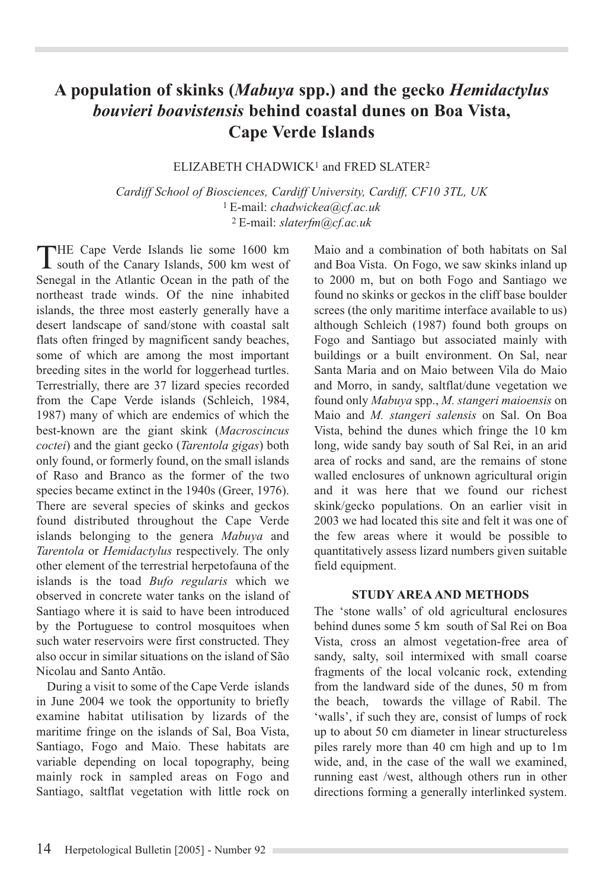# **A population of skinks (***Mabuya* **spp.) and the gecko** *Hemidactylus bouvieri boavistensis* **behind coastal dunes on Boa Vista, Cape Verde Islands**

### ELIZABETH CHADWICK<sup>1</sup> and FRED SLATER<sup>2</sup>

*Cardiff School of Biosciences, Cardiff University, Cardiff, CF10 3TL, UK* 1 E-mail: *chadwickea@cf.ac.uk* 2 E-mail: *slaterfm@cf.ac.uk*

THE Cape Verde Islands lie some 1600 km<br>south of the Canary Islands, 500 km west of Senegal in the Atlantic Ocean in the path of the northeast trade winds. Of the nine inhabited islands, the three most easterly generally have a desert landscape of sand/stone with coastal salt flats often fringed by magnificent sandy beaches, some of which are among the most important breeding sites in the world for loggerhead turtles. Terrestrially, there are 37 lizard species recorded from the Cape Verde islands (Schleich, 1984, 1987) many of which are endemics of which the best-known are the giant skink (*Macroscincus coctei*) and the giant gecko (*Tarentola gigas*) both only found, or formerly found, on the small islands of Raso and Branco as the former of the two species became extinct in the 1940s (Greer, 1976). There are several species of skinks and geckos found distributed throughout the Cape Verde islands belonging to the genera *Mabuya* and *Tarentola* or *Hemidactylus* respectively. The only other element of the terrestrial herpetofauna of the islands is the toad *Bufo regularis* which we observed in concrete water tanks on the island of Santiago where it is said to have been introduced by the Portuguese to control mosquitoes when such water reservoirs were first constructed. They also occur in similar situations on the island of São Nicolau and Santo Antão.

During a visit to some of the Cape Verde islands in June 2004 we took the opportunity to briefly examine habitat utilisation by lizards of the maritime fringe on the islands of Sal, Boa Vista, Santiago, Fogo and Maio. These habitats are variable depending on local topography, being mainly rock in sampled areas on Fogo and Santiago, saltflat vegetation with little rock on Maio and a combination of both habitats on Sal and Boa Vista. On Fogo, we saw skinks inland up to 2000 m, but on both Fogo and Santiago we found no skinks or geckos in the cliff base boulder screes (the only maritime interface available to us) although Schleich (1987) found both groups on Fogo and Santiago but associated mainly with buildings or a built environment. On Sal, near Santa Maria and on Maio between Vila do Maio and Morro, in sandy, saltflat/dune vegetation we found only *Mabuya* spp., *M. stangeri maioensis* on Maio and *M. stangeri salensis* on Sal. On Boa Vista, behind the dunes which fringe the 10 km long, wide sandy bay south of Sal Rei, in an arid area of rocks and sand, are the remains of stone walled enclosures of unknown agricultural origin and it was here that we found our richest skink/gecko populations. On an earlier visit in 2003 we had located this site and felt it was one of the few areas where it would be possible to quantitatively assess lizard numbers given suitable field equipment.

#### **STUDY AREA AND METHODS**

The 'stone walls' of old agricultural enclosures behind dunes some 5 km south of Sal Rei on Boa Vista, cross an almost vegetation-free area of sandy, salty, soil intermixed with small coarse fragments of the local volcanic rock, extending from the landward side of the dunes, 50 m from the beach, towards the village of Rabil. The 'walls', if such they are, consist of lumps of rock up to about 50 cm diameter in linear structureless piles rarely more than 40 cm high and up to 1m wide, and, in the case of the wall we examined, running east /west, although others run in other directions forming a generally interlinked system.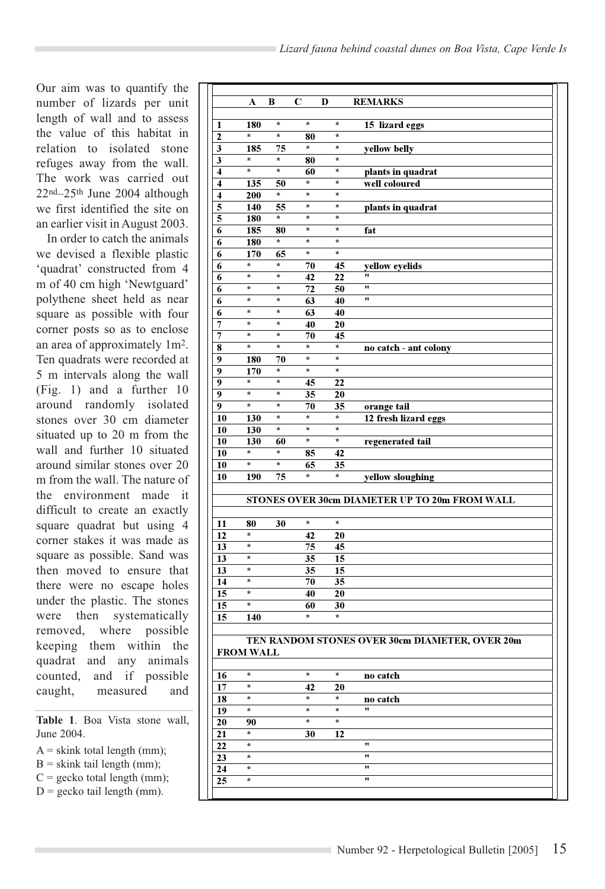Our aim was to quantify the number of lizards per unit length of wall and to assess the value of this habitat in relation to isolated stone refuges away from the wall. The work was carried out 22nd–25th June 2004 although we first identified the site on an earlier visit in August 2003.

In order to catch the animals we devised a flexible plastic 'quadrat' constructed from 4 m of 40 cm high 'Newtguard' polythene sheet held as near square as possible with four corner posts so as to enclose an area of approximately 1m2. Ten quadrats were recorded at 5 m intervals along the wall (Fig. 1) and a further 10 around randomly isolated stones over 30 cm diameter situated up to 20 m from the wall and further 10 situated around similar stones over 20 m from the wall. The nature of the environment made it difficult to create an exactly square quadrat but using 4 corner stakes it was made as square as possible. Sand was then moved to ensure that there were no escape holes under the plastic. The stones were then systematically removed, where possible keeping them within the quadrat and any animals counted, and if possible caught, measured and

**Table 1**. Boa Vista stone wall, June 2004.

- $A =$ skink total length (mm);
- $B =$  skink tail length (mm);
- $C =$  gecko total length (mm);
- $D =$  gecko tail length (mm).

|                         |                     |               | C                  | D                              | <b>REMARKS</b>                                 |
|-------------------------|---------------------|---------------|--------------------|--------------------------------|------------------------------------------------|
|                         | A                   | B             |                    |                                |                                                |
| 1                       | 180                 | $\star$       | *                  | $\star$                        | 15 lizard eggs                                 |
| 2                       | *                   | $\star$       | 80                 | $\pmb{\star}$                  |                                                |
| 3                       | 185                 | 75            | $\star$            | $\pmb{\star}$                  | yellow belly                                   |
| 3                       | *                   | ×             | 80                 | $\pmb{\star}$                  |                                                |
| $\overline{\mathbf{4}}$ | *                   | *             | 60                 | ×                              | plants in quadrat                              |
| $\overline{\mathbf{4}}$ | 135                 | 50            | *                  | ×                              | well coloured                                  |
| $\overline{\mathbf{4}}$ | 200                 | ×             | *<br>$\star$       | $\pmb{\star}$<br>$\pmb{\star}$ |                                                |
| 5<br>5                  | 140<br>180          | 55<br>*       | $\star$            | $\star$                        | plants in quadrat                              |
| 6                       | 185                 | 80            | *                  | $\star$                        | fat                                            |
| 6                       | 180                 | $\pmb{\ast}$  | $\star$            | $\star$                        |                                                |
| 6                       | 170                 | 65            | $\star$            | $\star$                        |                                                |
| 6                       | $\star$             | $\star$       | 70                 | 45                             | yellow eyelids                                 |
| 6                       | ×                   | ×             | 42                 | 22                             | 11                                             |
| 6                       | *                   | *             | 72                 | 50                             | 11                                             |
| 6                       | *                   | *             | 63                 | 40                             | 11                                             |
| 6                       | *                   | $\pmb{\star}$ | 63                 | 40                             |                                                |
| 7                       | ×                   | ×             | 40                 | 20                             |                                                |
| 7                       | *                   | $\star$       | 70                 | 45                             |                                                |
| 8                       | $\star$             | ×             | $\star$<br>$\star$ | $\pmb{\star}$<br>$\pmb{\star}$ | no catch - ant colony                          |
| 9                       | 180                 | 70<br>*       | *                  | $\star$                        |                                                |
| 9<br>9                  | 170<br>×            | ×             | 45                 | 22                             |                                                |
| 9                       | *                   | *             | 35                 | 20                             |                                                |
| 9                       | *                   | ×             | 70                 | 35                             | orange tail                                    |
| 10                      | 130                 | $\star$       | $\star$            | $\star$                        | 12 fresh lizard eggs                           |
| 10                      | 130                 | ×             | *                  | *                              |                                                |
| 10                      | 130                 | 60            | $\star$            | $\star$                        | regenerated tail                               |
| 10                      | ×                   | ×             | 85                 | 42                             |                                                |
| 10                      | *                   | ×             | 65                 | 35                             |                                                |
| 10                      | 190                 | 75            | *                  | *                              | yellow sloughing                               |
|                         |                     |               |                    |                                |                                                |
|                         |                     |               |                    |                                | STONES OVER 30cm DIAMETER UP TO 20m FROM WALL  |
| 11                      | 80                  | 30            | $\star$            | $\star$                        |                                                |
| 12                      | *                   |               | 42                 | 20                             |                                                |
| 13                      | *                   |               | 75                 | 45                             |                                                |
| 13                      | *                   |               | 35                 | 15                             |                                                |
| 13                      | *                   |               | 35                 | 15                             |                                                |
| 14                      | ×                   |               | 70                 | 35                             |                                                |
| 15                      | x                   |               | 40                 | 20                             |                                                |
| 15                      | *                   |               | 60                 | 30                             |                                                |
| 15                      | 140                 |               | *.                 | *                              |                                                |
|                         |                     |               |                    |                                | TEN RANDOM STONES OVER 30cm DIAMETER, OVER 20m |
|                         | <b>FROM WALL</b>    |               |                    |                                |                                                |
|                         |                     |               |                    |                                |                                                |
| 16                      | *                   |               | $\star$            | $\pmb{\star}$                  | no catch                                       |
| 17                      | *                   |               | 42                 | 20                             |                                                |
| 18                      | ×                   |               | *                  | ×                              | no catch                                       |
| 19                      | *                   |               | $\star$            | $\star$                        | 11                                             |
| 20                      | 90                  |               | $\star$            | ×                              |                                                |
| 21                      | *                   |               | 30                 | $\overline{1}2$                |                                                |
|                         | *                   |               |                    |                                | 11                                             |
|                         |                     |               |                    |                                |                                                |
| 22<br>23                | ×.                  |               |                    |                                | 11                                             |
| 24<br>25                | ×.<br>$\pmb{\star}$ |               |                    |                                | 11<br>11                                       |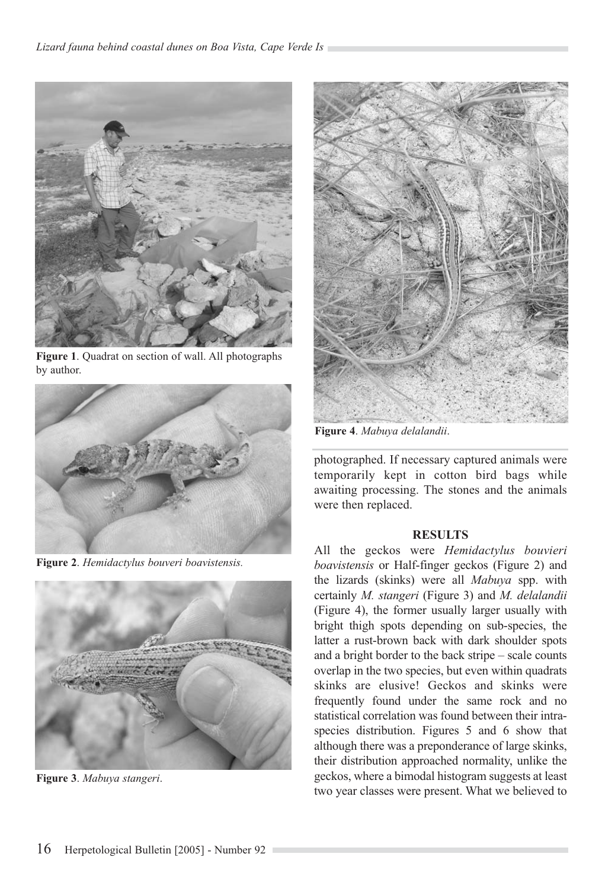

**Figure 1**. Quadrat on section of wall. All photographs by author.



**Figure 2**. *Hemidactylus bouveri boavistensis.*



**Figure 3**. *Mabuya stangeri*.



**Figure 4**. *Mabuya delalandii*.

photographed. If necessary captured animals were temporarily kept in cotton bird bags while awaiting processing. The stones and the animals were then replaced.

#### **RESULTS**

All the geckos were *Hemidactylus bouvieri boavistensis* or Half-finger geckos (Figure 2) and the lizards (skinks) were all *Mabuya* spp. with certainly *M. stangeri* (Figure 3) and *M. delalandii* (Figure 4), the former usually larger usually with bright thigh spots depending on sub-species, the latter a rust-brown back with dark shoulder spots and a bright border to the back stripe – scale counts overlap in the two species, but even within quadrats skinks are elusive! Geckos and skinks were frequently found under the same rock and no statistical correlation was found between their intraspecies distribution. Figures 5 and 6 show that although there was a preponderance of large skinks, their distribution approached normality, unlike the geckos, where a bimodal histogram suggests at least two year classes were present. What we believed to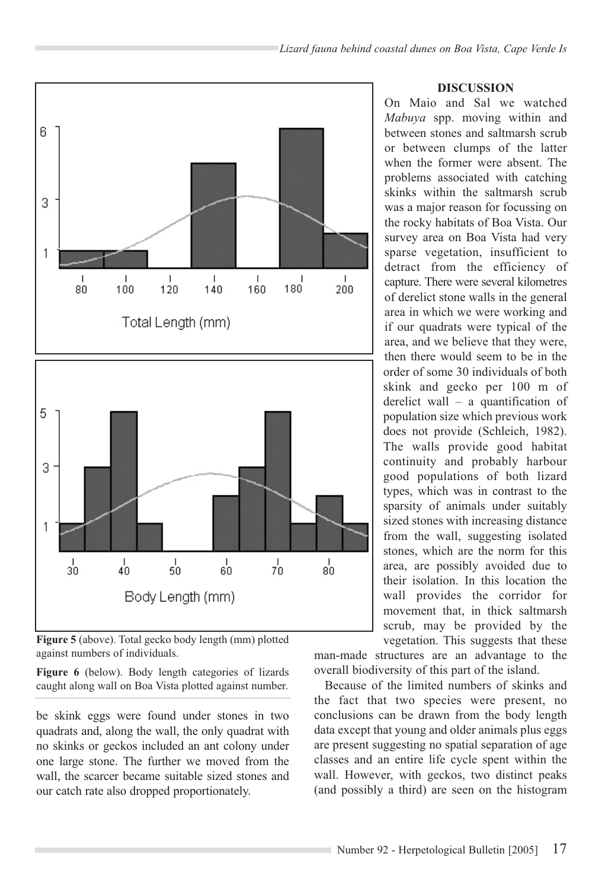

**Figure 5** (above). Total gecko body length (mm) plotted against numbers of individuals.

**Figure 6** (below). Body length categories of lizards caught along wall on Boa Vista plotted against number.

be skink eggs were found under stones in two quadrats and, along the wall, the only quadrat with no skinks or geckos included an ant colony under one large stone. The further we moved from the wall, the scarcer became suitable sized stones and our catch rate also dropped proportionately.

#### **DISCUSSION**

On Maio and Sal we watched *Mabuya* spp. moving within and between stones and saltmarsh scrub or between clumps of the latter when the former were absent. The problems associated with catching skinks within the saltmarsh scrub was a major reason for focussing on the rocky habitats of Boa Vista. Our survey area on Boa Vista had very sparse vegetation, insufficient to detract from the efficiency of capture. There were several kilometres of derelict stone walls in the general area in which we were working and if our quadrats were typical of the area, and we believe that they were, then there would seem to be in the order of some 30 individuals of both skink and gecko per 100 m of derelict wall – a quantification of population size which previous work does not provide (Schleich, 1982). The walls provide good habitat continuity and probably harbour good populations of both lizard types, which was in contrast to the sparsity of animals under suitably sized stones with increasing distance from the wall, suggesting isolated stones, which are the norm for this area, are possibly avoided due to their isolation. In this location the wall provides the corridor for movement that, in thick saltmarsh scrub, may be provided by the vegetation. This suggests that these

man-made structures are an advantage to the overall biodiversity of this part of the island.

Because of the limited numbers of skinks and the fact that two species were present, no conclusions can be drawn from the body length data except that young and older animals plus eggs are present suggesting no spatial separation of age classes and an entire life cycle spent within the wall. However, with geckos, two distinct peaks (and possibly a third) are seen on the histogram